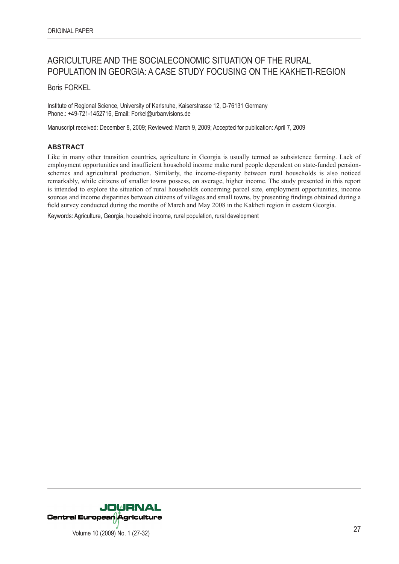# AGRICULTURE AND THE SOCIALECONOMIC SITUATION OF THE RURAL POPULATION IN GEORGIA: A CASE STUDY FOCUSING ON THE KAKHETI-REGION

Boris FORKEL

Institute of Regional Science, University of Karlsruhe, Kaiserstrasse 12, D-76131 Germany Phone.: +49-721-1452716, Email: Forkel@urbanvisions.de

Manuscript received: December 8, 2009; Reviewed: March 9, 2009; Accepted for publication: April 7, 2009

### **ABSTRACT**

Like in many other transition countries, agriculture in Georgia is usually termed as subsistence farming. Lack of employment opportunities and insufficient household income make rural people dependent on state-funded pensionschemes and agricultural production. Similarly, the income-disparity between rural households is also noticed remarkably, while citizens of smaller towns possess, on average, higher income. The study presented in this report is intended to explore the situation of rural households concerning parcel size, employment opportunities, income sources and income disparities between citizens of villages and small towns, by presenting findings obtained during a field survey conducted during the months of March and May 2008 in the Kakheti region in eastern Georgia.

Keywords: Agriculture, Georgia, household income, rural population, rural development

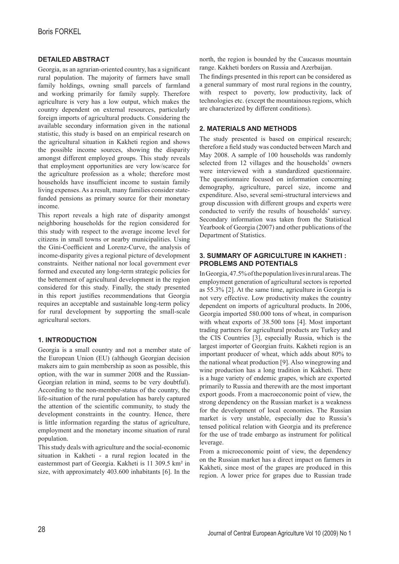# **DETAILED ABSTRACT**

Georgia, as an agrarian-oriented country, has a significant rural population. The majority of farmers have small family holdings, owning small parcels of farmland and working primarily for family supply. Therefore agriculture is very has a low output, which makes the country dependent on external resources, particularly foreign imports of agricultural products. Considering the available secondary information given in the national statistic, this study is based on an empirical research on the agricultural situation in Kakheti region and shows the possible income sources, showing the disparity amongst different employed groups. This study reveals that employment opportunities are very low/scarce for the agriculture profession as a whole; therefore most households have insufficient income to sustain family living expenses. As a result, many families consider statefunded pensions as primary source for their monetary income.

This report reveals a high rate of disparity amongst neighboring households for the region considered for this study with respect to the average income level for citizens in small towns or nearby municipalities. Using the Gini-Coefficient and Lorenz-Curve, the analysis of income-disparity gives a regional picture of development constraints. Neither national nor local government ever formed and executed any long-term strategic policies for the betterment of agricultural development in the region considered for this study. Finally, the study presented in this report justifies recommendations that Georgia requires an acceptable and sustainable long-term policy for rural development by supporting the small-scale agricultural sectors.

# **1. INTRODUCTION**

Georgia is a small country and not a member state of the European Union (EU) (although Georgian decision makers aim to gain membership as soon as possible, this option, with the war in summer 2008 and the Russian-Georgian relation in mind, seems to be very doubtful). According to the non-member-status of the country, the life-situation of the rural population has barely captured the attention of the scientific community, to study the development constraints in the country. Hence, there is little information regarding the status of agriculture, employment and the monetary income situation of rural population.

This study deals with agriculture and the social-economic situation in Kakheti - a rural region located in the easternmost part of Georgia. Kakheti is 11 309.5 km² in size, with approximately 403.600 inhabitants [6]. In the

north, the region is bounded by the Caucasus mountain range. Kakheti borders on Russia and Azerbaijan.

The findings presented in this report can be considered as a general summary of most rural regions in the country, with respect to poverty, low productivity, lack of technologies etc. (except the mountainous regions, which are characterized by different conditions).

## **2. MATERIALS AND METHODS**

The study presented is based on empirical research; therefore a field study was conducted between March and May 2008. A sample of 100 households was randomly selected from 12 villages and the households' owners were interviewed with a standardized questionnaire. The questionnaire focused on information concerning demography, agriculture, parcel size, income and expenditure. Also, several semi-structural interviews and group discussion with different groups and experts were conducted to verify the results of households' survey. Secondary information was taken from the Statistical Yearbook of Georgia (2007) and other publications of the Department of Statistics.

#### **3. SUMMARY OF AGRICULTURE IN KAKHETI : PROBLEMS AND POTENTIALS**

In Georgia, 47.5% of the population lives in rural areas. The employment generation of agricultural sectors is reported as 55.3% [2]. At the same time, agriculture in Georgia is not very effective. Low productivity makes the country dependent on imports of agricultural products. In 2006, Georgia imported 580.000 tons of wheat, in comparison with wheat exports of 38.500 tons [4]. Most important trading partners for agricultural products are Turkey and the CIS Countries [3], especially Russia, which is the largest importer of Georgian fruits. Kakheti region is an important producer of wheat, which adds about 80% to the national wheat production [9]. Also winegrowing and wine production has a long tradition in Kakheti. There is a huge variety of endemic grapes, which are exported primarily to Russia and therewith are the most important export goods. From a macroeconomic point of view, the strong dependency on the Russian market is a weakness for the development of local economies. The Russian market is very unstable, especially due to Russia's tensed political relation with Georgia and its preference for the use of trade embargo as instrument for political leverage.

From a microeconomic point of view, the dependency on the Russian market has a direct impact on farmers in Kakheti, since most of the grapes are produced in this region. A lower price for grapes due to Russian trade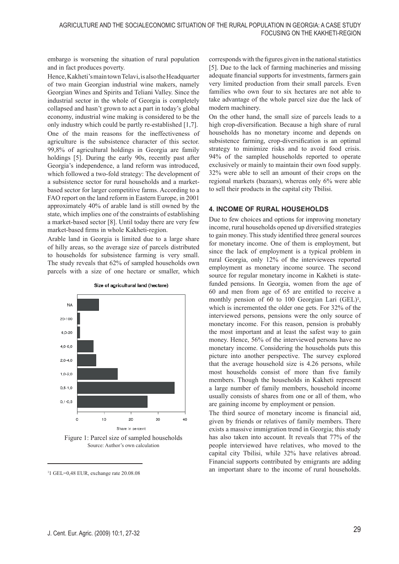embargo is worsening the situation of rural population and in fact produces poverty.

Hence, Kakheti's main town Telavi, is also the Headquarter of two main Georgian industrial wine makers, namely Georgian Wines and Spirits and Teliani Valley. Since the industrial sector in the whole of Georgia is completely collapsed and hasn't grown to act a part in today's global economy, industrial wine making is considered to be the only industry which could be partly re-established [1,7]. One of the main reasons for the ineffectiveness of agriculture is the subsistence character of this sector. 99,8% of agricultural holdings in Georgia are family holdings [5]. During the early 90s, recently past after Georgia's independence, a land reform was introduced, which followed a two-fold strategy: The development of a subsistence sector for rural households and a marketbased sector for larger competitive farms. According to a FAO report on the land reform in Eastern Europe, in 2001 approximately 40% of arable land is still owned by the state, which implies one of the constraints of establishing a market-based sector [8]. Until today there are very few market-based firms in whole Kakheti-region.

Arable land in Georgia is limited due to a large share of hilly areas, so the average size of parcels distributed to households for subsistence farming is very small. The study reveals that 62% of sampled households own parcels with a size of one hectare or smaller, which



Size of agricultural land (hectare)

Figure 1: Parcel size of sampled households Source: Author's own calculation

<sup>1</sup>1 GEL=0,48 EUR, exchange rate 20.08.08

corresponds with the figures given in the national statistics [5]. Due to the lack of farming machineries and missing adequate financial supports for investments, farmers gain very limited production from their small parcels. Even families who own four to six hectares are not able to take advantage of the whole parcel size due the lack of modern machinery.

On the other hand, the small size of parcels leads to a high crop-diversification. Because a high share of rural households has no monetary income and depends on subsistence farming, crop-diversification is an optimal strategy to minimize risks and to avoid food crisis. 94% of the sampled households reported to operate exclusively or mainly to maintain their own food supply. 32% were able to sell an amount of their crops on the regional markets (bazaars), whereas only 6% were able to sell their products in the capital city Tbilisi.

#### **4. INCOME OF RURAL HOUSEHOLDS**

Due to few choices and options for improving monetary income, rural households opened up diversified strategies to gain money. This study identified three general sources for monetary income. One of them is employment, but since the lack of employment is a typical problem in rural Georgia, only 12% of the interviewees reported employment as monetary income source. The second source for regular monetary income in Kakheti is statefunded pensions. In Georgia, women from the age of 60 and men from age of 65 are entitled to receive a monthly pension of 60 to 100 Georgian Lari (GEL)<sup>1</sup>, which is incremented the older one gets. For 32% of the interviewed persons, pensions were the only source of monetary income. For this reason, pension is probably the most important and at least the safest way to gain money. Hence, 56% of the interviewed persons have no monetary income. Considering the households puts this picture into another perspective. The survey explored that the average household size is 4.26 persons, while most households consist of more than five family members. Though the households in Kakheti represent a large number of family members, household income usually consists of shares from one or all of them, who are gaining income by employment or pension.

The third source of monetary income is financial aid, given by friends or relatives of family members. There exists a massive immigration trend in Georgia; this study has also taken into account. It reveals that 77% of the people interviewed have relatives, who moved to the capital city Tbilisi, while 32% have relatives abroad. Financial supports contributed by emigrants are adding an important share to the income of rural households.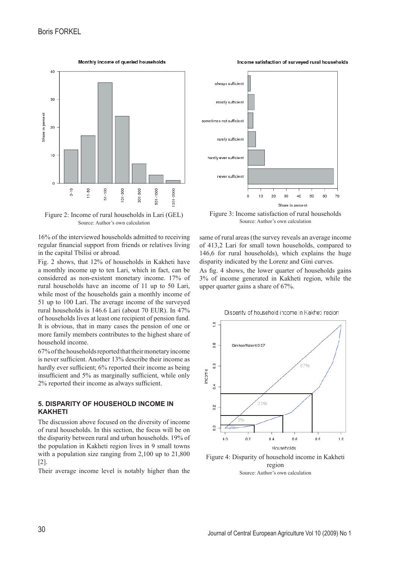

Figure 2: Income of rural households in Lari (GEL) Source: Author's own calculation

16% of the interviewed households admitted to receiving regular financial support from friends or relatives living in the capital Tbilisi or abroad.

Fig. 2 shows, that 12% of households in Kakheti have a monthly income up to ten Lari, which in fact, can be considered as non-existent monetary income. 17% of rural households have an income of 11 up to 50 Lari, while most of the households gain a monthly income of 51 up to 100 Lari. The average income of the surveyed rural households is 146.6 Lari (about 70 EUR). In 47% of households lives at least one recipient of pension fund. It is obvious, that in many cases the pension of one or more family members contributes to the highest share of household income.

67% of the households reported that their monetary income is never sufficient. Another 13% describe their income as hardly ever sufficient; 6% reported their income as being insufficient and 5% as marginally sufficient, while only 2% reported their income as always sufficient.

#### **5. DISPARITY OF HOUSEHOLD INCOME IN KAKHETI**

The discussion above focused on the diversity of income of rural households. In this section, the focus will be on the disparity between rural and urban households. 19% of the population in Kakheti region lives in 9 small towns with a population size ranging from 2,100 up to 21,800 [2].

Their average income level is notably higher than the

Income satisfaction of surveyed rural households



Figure 3: Income satisfaction of rural households Source: Author's own calculation

same of rural areas (the survey reveals an average income of 413,2 Lari for small town households, compared to 146,6 for rural households), which explains the huge disparity indicated by the Lorenz and Gini curves.

As fig. 4 shows, the lower quarter of households gains 3% of income generated in Kakheti region, while the upper quarter gains a share of 67%.



Figure 4: Disparity of household income in Kakheti region Source: Author's own calculation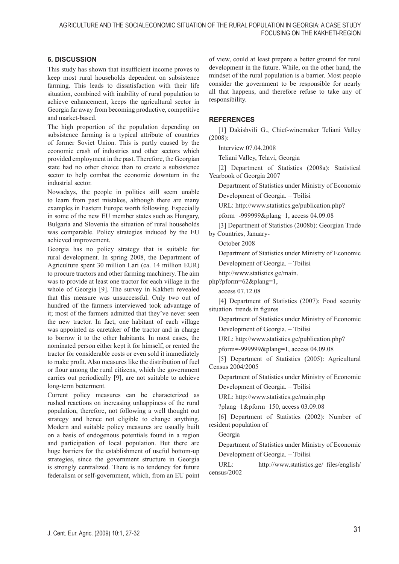# **6. DISCUSSION**

This study has shown that insufficient income proves to keep most rural households dependent on subsistence farming. This leads to dissatisfaction with their life situation, combined with inability of rural population to achieve enhancement, keeps the agricultural sector in Georgia far away from becoming productive, competitive and market-based.

The high proportion of the population depending on subsistence farming is a typical attribute of countries of former Soviet Union. This is partly caused by the economic crash of industries and other sectors which provided employment in the past. Therefore, the Georgian state had no other choice than to create a subsistence sector to help combat the economic downturn in the industrial sector.

Nowadays, the people in politics still seem unable to learn from past mistakes, although there are many examples in Eastern Europe worth following. Especially in some of the new EU member states such as Hungary, Bulgaria and Slovenia the situation of rural households was comparable. Policy strategies induced by the EU achieved improvement.

Georgia has no policy strategy that is suitable for rural development. In spring 2008, the Department of Agriculture spent 30 million Lari (ca. 14 million EUR) to procure tractors and other farming machinery. The aim was to provide at least one tractor for each village in the whole of Georgia [9]. The survey in Kakheti revealed that this measure was unsuccessful. Only two out of hundred of the farmers interviewed took advantage of it; most of the farmers admitted that they've never seen the new tractor. In fact, one habitant of each village was appointed as caretaker of the tractor and in charge to borrow it to the other habitants. In most cases, the nominated person either kept it for himself, or rented the tractor for considerable costs or even sold it immediately to make profit. Also measures like the distribution of fuel or flour among the rural citizens, which the government carries out periodically [9], are not suitable to achieve long-term betterment.

Current policy measures can be characterized as rushed reactions on increasing unhappiness of the rural population, therefore, not following a well thought out strategy and hence not eligible to change anything. Modern and suitable policy measures are usually built on a basis of endogenous potentials found in a region and participation of local population. But there are huge barriers for the establishment of useful bottom-up strategies, since the government structure in Georgia is strongly centralized. There is no tendency for future federalism or self-government, which, from an EU point of view, could at least prepare a better ground for rural development in the future. While, on the other hand, the mindset of the rural population is a barrier. Most people consider the government to be responsible for nearly all that happens, and therefore refuse to take any of responsibility.

## **REFERENCES**

[1] Dakishvili G., Chief-winemaker Teliani Valley (2008):

Interview 07.04.2008

Teliani Valley, Telavi, Georgia

[2] Department of Statistics (2008a): Statistical Yearbook of Georgia 2007

Department of Statistics under Ministry of Economic Development of Georgia. – Tbilisi

URL: http://www.statistics.ge/publication.php?

pform=-999999&plang=1, access 04.09.08

[3] Department of Statistics (2008b): Georgian Trade by Countries, January-

October 2008

Department of Statistics under Ministry of Economic

Development of Georgia. – Tbilisi

http://www.statistics.ge/main.

php?pform=62&plang=1,

access 07.12.08

[4] Department of Statistics (2007): Food security situation trends in figures

Department of Statistics under Ministry of Economic Development of Georgia. – Tbilisi

URL: http://www.statistics.ge/publication.php?

pform=-999999&plang=1, access 04.09.08

[5] Department of Statistics (2005): Agricultural Census 2004/2005

Department of Statistics under Ministry of Economic Development of Georgia. – Tbilisi

URL: http://www.statistics.ge/main.php

?plang=1&pform=150, access 03.09.08

[6] Department of Statistics (2002): Number of resident population of

Georgia

Department of Statistics under Ministry of Economic Development of Georgia. – Tbilisi

URL: http://www.statistics.ge/\_files/english/ census/2002